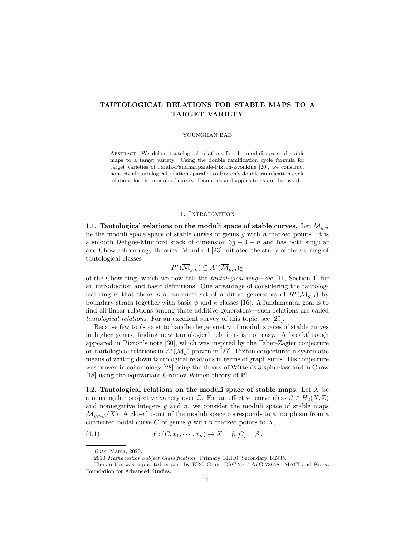# TAUTOLOGICAL RELATIONS FOR STABLE MAPS TO A TARGET VARIETY

#### YOUNGHAN BAE

ABSTRACT. We define tautological relations for the moduli space of stable maps to a target variety. Using the double ramification cycle formula for target varieties of Janda-Pandharipande-Pixton-Zvonkine [20], we construct non-trivial tautological relations parallel to Pixton's double ramification cycle relations for the moduli of curves. Examples and applications are discussed.

### 1. Introduction

1.1. Tautological relations on the moduli space of stable curves. Let  $\overline{\mathcal{M}}_{q,n}$ be the moduli space space of stable curves of genus  $g$  with  $n$  marked points. It is a smooth Deligne-Mumford stack of dimension  $3g - 3 + n$  and has both singular and Chow cohomology theories. Mumford [23] initiated the study of the subring of tautological classes

$$
R^*(\overline{\mathcal{M}}_{g,n}) \subseteq A^*(\overline{\mathcal{M}}_{g,n})_{\mathbb{Q}}
$$

of the Chow ring, which we now call the tautological ring—see [11, Section 1] for an introduction and basic definitions. One advantage of considering the tautological ring is that there is a canonical set of additive generators of  $R^*(\overline{\mathcal{M}}_{g,n})$  by boundary strata together with basic  $\psi$  and  $\kappa$  classes [16]. A fundamental goal is to find all linear relations among these additive generators—such relations are called tautological relations. For an excellent survey of this topic, see [29].

Because few tools exist to handle the geometry of moduli spaces of stable curves in higher genus, finding new tautological relations is not easy. A breakthrough appeared in Pixton's note [30], which was inspired by the Faber-Zagier conjecture on tautological relations in  $A^*(\mathcal{M}_g)$  proven in [27]. Pixton conjectured a systematic means of writing down tautological relations in terms of graph sums. His conjecture was proven in cohomology [28] using the theory of Witten's 3-spin class and in Chow [18] using the equivariant Gromov-Witten theory of  $\mathbb{P}^1$ .

1.2. Tautological relations on the moduli space of stable maps. Let  $X$  be a nonsingular projective variety over  $\mathbb C$ . For an effective curve class  $\beta \in H_2(X,\mathbb Z)$ and nonnegative integers  $g$  and  $n$ , we consider the moduli space of stable maps  $\overline{\mathcal{M}}_{q,n,\beta}(X)$ . A closed point of the moduli space corresponds to a morphism from a connected nodal curve  $C$  of genus  $g$  with  $n$  marked points to  $X$ ,

(1.1) 
$$
f:(C, x_1, \cdots, x_n) \to X, \quad f_*[C] = \beta.
$$

Date: March, 2020.

<sup>2010</sup> Mathematics Subject Classification. Primary 14H10; Secondary 14N35.

The author was supported in part by ERC Grant ERC-2017-AdG-786580-MACI and Korea Foundation for Advanced Studies.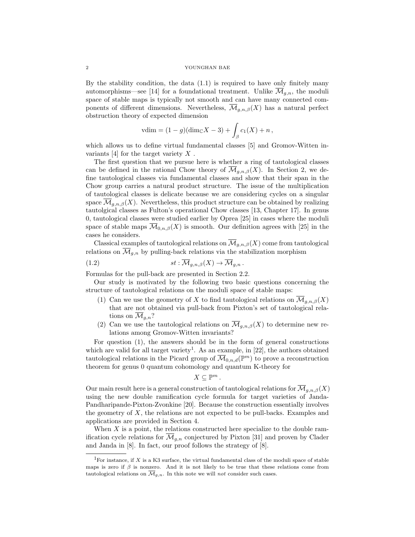By the stability condition, the data (1.1) is required to have only finitely many automorphisms—see [14] for a foundational treatment. Unlike  $\overline{\mathcal{M}}_{q,n}$ , the moduli space of stable maps is typically not smooth and can have many connected components of different dimensions. Nevertheless,  $\overline{\mathcal{M}}_{q,n,\beta}(X)$  has a natural perfect obstruction theory of expected dimension

$$
vdim = (1 - g)(dim_{\mathbb{C}}X - 3) + \int_{\beta} c_1(X) + n,
$$

which allows us to define virtual fundamental classes [5] and Gromov-Witten invariants [4] for the target variety  $X$ .

The first question that we pursue here is whether a ring of tautological classes can be defined in the rational Chow theory of  $\mathcal{M}_{q,n,\beta}(X)$ . In Section 2, we define tautological classes via fundamental classes and show that their span in the Chow group carries a natural product structure. The issue of the multiplication of tautological classes is delicate because we are considering cycles on a singular space  $\overline{\mathcal{M}}_{g,n,\beta}(X)$ . Nevertheless, this product structure can be obtained by realizing tautolgical classes as Fulton's operational Chow classes [13, Chapter 17]. In genus 0, tautological classes were studied earlier by Oprea [25] in cases where the moduli space of stable maps  $\overline{\mathcal{M}}_{0,n,\beta}(X)$  is smooth. Our definition agrees with [25] in the cases he considers.

Classical examples of tautological relations on  $\overline{\mathcal{M}}_{q,n,\beta}(X)$  come from tautological relations on  $\overline{\mathcal{M}}_{g,n}$  by pulling-back relations via the stabilization morphism

(1.2) 
$$
st: \overline{\mathcal{M}}_{g,n,\beta}(X) \to \overline{\mathcal{M}}_{g,n}.
$$

Formulas for the pull-back are presented in Section 2.2.

Our study is motivated by the following two basic questions concerning the structure of tautological relations on the moduli space of stable maps:

- (1) Can we use the geometry of X to find tautological relations on  $\overline{\mathcal{M}}_{q,n,\beta}(X)$ that are not obtained via pull-back from Pixton's set of tautological relations on  $\mathcal{M}_{q,n}$ ?
- (2) Can we use the tautological relations on  $\overline{\mathcal{M}}_{q,n,\beta}(X)$  to determine new relations among Gromov-Witten invariants?

For question (1), the answers should be in the form of general constructions which are valid for all target variety<sup>1</sup>. As an example, in [22], the authors obtained tautological relations in the Picard group of  $\overline{\mathcal{M}}_{0,n,d}(\mathbb{P}^m)$  to prove a reconstruction theorem for genus 0 quantum cohomology and quantum K-theory for

$$
X\subseteq \mathbb{P}^m\,.
$$

Our main result here is a general construction of tautological relations for  $\overline{\mathcal{M}}_{q,n,\beta}(X)$ using the new double ramification cycle formula for target varieties of Janda-Pandharipande-Pixton-Zvonkine [20]. Because the construction essentially involves the geometry of  $X$ , the relations are not expected to be pull-backs. Examples and applications are provided in Section 4.

When  $X$  is a point, the relations constructed here specialize to the double ramification cycle relations for  $\overline{\mathcal{M}}_{g,n}$  conjectured by Pixton [31] and proven by Clader and Janda in [8]. In fact, our proof follows the strategy of [8].

<sup>&</sup>lt;sup>1</sup>For instance, if X is a K3 surface, the virtual fundamental class of the moduli space of stable maps is zero if  $\beta$  is nonzero. And it is not likely to be true that these relations come from tautological relations on  $\overline{\mathcal{M}}_{g,n}$ . In this note we will not consider such cases.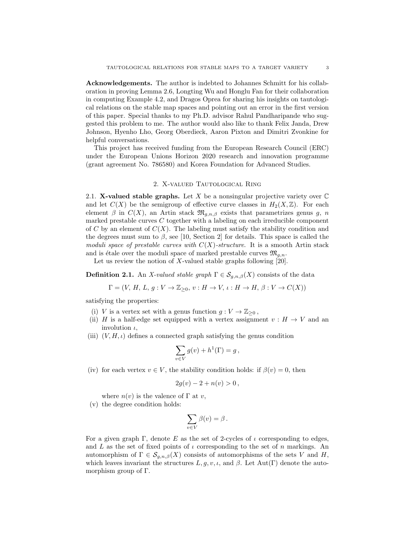Acknowledgements. The author is indebted to Johannes Schmitt for his collaboration in proving Lemma 2.6, Longting Wu and Honglu Fan for their collaboration in computing Example 4.2, and Dragos Oprea for sharing his insights on tautological relations on the stable map spaces and pointing out an error in the first version of this paper. Special thanks to my Ph.D. advisor Rahul Pandharipande who suggested this problem to me. The author would also like to thank Felix Janda, Drew Johnson, Hyenho Lho, Georg Oberdieck, Aaron Pixton and Dimitri Zvonkine for helpful conversations.

This project has received funding from the European Research Council (ERC) under the European Unions Horizon 2020 research and innovation programme (grant agreement No. 786580) and Korea Foundation for Advanced Studies.

## 2. X-valued Tautological Ring

2.1. X-valued stable graphs. Let X be a nonsingular projective variety over  $\mathbb C$ and let  $C(X)$  be the semigroup of effective curve classes in  $H_2(X,\mathbb{Z})$ . For each element  $\beta$  in  $C(X)$ , an Artin stack  $\mathfrak{M}_{q,n,\beta}$  exists that parametrizes genus g, n marked prestable curves  $C$  together with a labeling on each irreducible component of C by an element of  $C(X)$ . The labeling must satisfy the stability condition and the degrees must sum to  $\beta$ , see [10, Section 2] for details. This space is called the moduli space of prestable curves with  $C(X)$ -structure. It is a smooth Artin stack and is étale over the moduli space of marked prestable curves  $\mathfrak{M}_{g,n}$ .

Let us review the notion of X-valued stable graphs following  $[20]$ .

**Definition 2.1.** An X-valued stable graph  $\Gamma \in \mathcal{S}_{q,n,\beta}(X)$  consists of the data

 $\Gamma = (V, H, L, g: V \to \mathbb{Z}_{\geq 0}, v: H \to V, \iota: H \to H, \beta: V \to C(X))$ 

satisfying the properties:

- (i) V is a vertex set with a genus function  $g: V \to \mathbb{Z}_{\geq 0}$ ,
- (ii) H is a half-edge set equipped with a vertex assignment  $v : H \to V$  and an involution  $\iota$ ,
- (iii)  $(V, H, \iota)$  defines a connected graph satisfying the genus condition

$$
\sum_{v \in V} g(v) + h^1(\Gamma) = g,
$$

(iv) for each vertex  $v \in V$ , the stability condition holds: if  $\beta(v) = 0$ , then

$$
2g(v) - 2 + n(v) > 0,
$$

where  $n(v)$  is the valence of  $\Gamma$  at v,

(v) the degree condition holds:

$$
\sum_{v \in V} \beta(v) = \beta \, .
$$

For a given graph Γ, denote E as the set of 2-cycles of  $\iota$  corresponding to edges, and L as the set of fixed points of  $\iota$  corresponding to the set of n markings. An automorphism of  $\Gamma \in \mathcal{S}_{g,n,\beta}(X)$  consists of automorphisms of the sets V and H, which leaves invariant the structures  $L, g, v, \iota$ , and  $\beta$ . Let Aut(Γ) denote the automorphism group of Γ.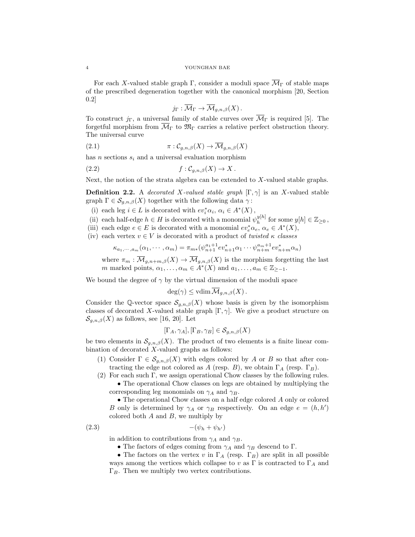#### 4 YOUNGHAN BAE

For each X-valued stable graph Γ, consider a moduli space  $\overline{\mathcal{M}}_{\Gamma}$  of stable maps of the prescribed degeneration together with the canonical morphism [20, Section 0.2]

$$
j_{\Gamma}: \overline{\mathcal{M}}_{\Gamma} \to \overline{\mathcal{M}}_{g,n,\beta}(X).
$$

To construct  $j_{\Gamma}$ , a universal family of stable curves over  $\overline{\mathcal{M}}_{\Gamma}$  is required [5]. The forgetful morphism from  $\overline{\mathcal{M}}_{\Gamma}$  to  $\mathfrak{M}_{\Gamma}$  carries a relative perfect obstruction theory. The universal curve

(2.1) 
$$
\pi: \mathcal{C}_{g,n,\beta}(X) \to \overline{\mathcal{M}}_{g,n,\beta}(X)
$$

has n sections  $s_i$  and a universal evaluation morphism

$$
(2.2) \t\t f: \mathcal{C}_{g,n,\beta}(X) \to X.
$$

Next, the notion of the strata algebra can be extended to X-valued stable graphs.

**Definition 2.2.** A decorated X-valued stable graph  $[\Gamma, \gamma]$  is an X-valued stable graph  $\Gamma \in \mathcal{S}_{g,n,\beta}(X)$  together with the following data  $\gamma$ :

(i) each leg  $i \in L$  is decorated with  $ev_i^* \alpha_i, \, \alpha_i \in A^*(X)$ ,

- (ii) each half-edge  $h \in H$  is decorated with a monomial  $\psi_h^{y[h]}$  $y[h]$  for some  $y[h] \in \mathbb{Z}_{\geq 0}$ ,
- (iii) each edge  $e \in E$  is decorated with a monomial  $ev_e^* \alpha_e, \alpha_e \in A^*(X)$ ,
- (iv) each vertex  $v \in V$  is decorated with a product of twisted  $\kappa$  classes

$$
\kappa_{a_1,\dots,a_m}(\alpha_1,\dots,\alpha_m)=\pi_{m*}(\psi_{n+1}^{a_1+1}ev_{n+1}^*\alpha_1\dots\psi_{n+m}^{a_m+1}ev_{n+m}^*\alpha_n)
$$

where  $\pi_m : \overline{\mathcal{M}}_{g,n+m,\beta}(X) \to \overline{\mathcal{M}}_{g,n,\beta}(X)$  is the morphism forgetting the last m marked points,  $\alpha_1, \ldots, \alpha_m \in A^*(X)$  and  $a_1, \ldots, a_m \in \mathbb{Z}_{\ge-1}$ .

We bound the degree of  $\gamma$  by the virtual dimension of the moduli space

$$
\deg(\gamma) \leq \text{vdim}\,\overline{\mathcal{M}}_{g,n,\beta}(X)\,.
$$

Consider the Q-vector space  $S_{g,n,\beta}(X)$  whose basis is given by the isomorphism classes of decorated X-valued stable graph  $[\Gamma, \gamma]$ . We give a product structure on  $\mathcal{S}_{q,n,\beta}(X)$  as follows, see [16, 20]. Let

$$
[\Gamma_A, \gamma_A], [\Gamma_B, \gamma_B] \in \mathcal{S}_{g,n,\beta}(X)
$$

be two elements in  $\mathcal{S}_{g,n,\beta}(X)$ . The product of two elements is a finite linear combination of decorated  $X$ -valued graphs as follows:

- (1) Consider  $\Gamma \in \mathcal{S}_{g,n,\beta}(X)$  with edges colored by A or B so that after contracting the edge not colored as A (resp. B), we obtain  $\Gamma_A$  (resp.  $\Gamma_B$ ).
- (2) For each such Γ, we assign operational Chow classes by the following rules. • The operational Chow classes on legs are obtained by multiplying the corresponding leg monomials on  $\gamma_A$  and  $\gamma_B$ .

• The operational Chow classes on a half edge colored A only or colored B only is determined by  $\gamma_A$  or  $\gamma_B$  respectively. On an edge  $e = (h, h')$ colored both  $A$  and  $B$ , we multiply by

$$
(2.3) \qquad \qquad -(\psi_h + \psi_{h'})
$$

in addition to contributions from  $\gamma_A$  and  $\gamma_B$ .

• The factors of edges coming from  $\gamma_A$  and  $\gamma_B$  descend to  $\Gamma$ .

• The factors on the vertex v in  $\Gamma_A$  (resp.  $\Gamma_B$ ) are split in all possible ways among the vertices which collapse to v as  $\Gamma$  is contracted to  $\Gamma_A$  and  $\Gamma_B$ . Then we multiply two vertex contributions.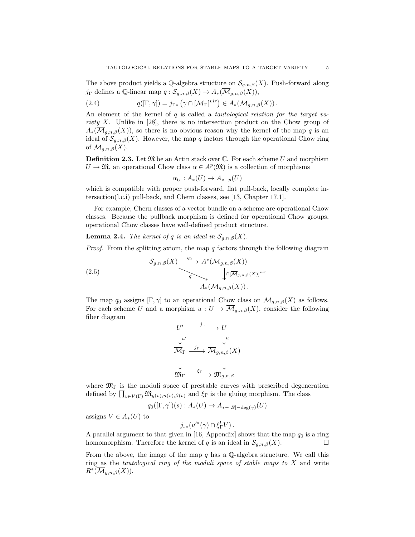The above product yields a Q-algebra structure on  $\mathcal{S}_{g,n,\beta}(X)$ . Push-forward along j<sub>Γ</sub> defines a Q-linear map  $q: S_{g,n,\beta}(X) \to A_*(\overline{\mathcal{M}}_{g,n,\beta}(X)),$ 

(2.4) 
$$
q([\Gamma, \gamma]) = j_{\Gamma*} \left( \gamma \cap [\overline{M}_{\Gamma}]^{vir} \right) \in A_* (\overline{M}_{g,n,\beta}(X)).
$$

An element of the kernel of q is called a tautological relation for the target variety X. Unlike in [28], there is no intersection product on the Chow group of  $A_*(\overline{\mathcal{M}}_{g,n,\beta}(X))$ , so there is no obvious reason why the kernel of the map q is an ideal of  $\mathcal{S}_{g,n,\beta}(X)$ . However, the map q factors through the operational Chow ring of  $\overline{\mathcal{M}}_{g,n,\beta}(X)$ .

**Definition 2.3.** Let  $\mathfrak{M}$  be an Artin stack over  $\mathbb{C}$ . For each scheme U and morphism  $U \to \mathfrak{M}$ , an operational Chow class  $\alpha \in A^p(\mathfrak{M})$  is a collection of morphisms

$$
\alpha_U : A_*(U) \to A_{*-p}(U)
$$

which is compatible with proper push-forward, flat pull-back, locally complete intersection(l.c.i) pull-back, and Chern classes, see [13, Chapter 17.1].

For example, Chern classes of a vector bundle on a scheme are operational Chow classes. Because the pullback morphism is defined for operational Chow groups, operational Chow classes have well-defined product structure.

**Lemma 2.4.** The kernel of q is an ideal in  $\mathcal{S}_{q,n,\beta}(X)$ .

*Proof.* From the splitting axiom, the map q factors through the following diagram

(2.5)  

$$
\mathcal{S}_{g,n,\beta}(X) \xrightarrow{q_0} A^*(\overline{\mathcal{M}}_{g,n,\beta}(X))
$$

$$
\downarrow \cap [\overline{\mathcal{M}}_{g,n,\beta}(X)]^{vir}
$$

$$
A_*(\overline{\mathcal{M}}_{g,n,\beta}(X)).
$$

The map  $q_0$  assigns  $[\Gamma, \gamma]$  to an operational Chow class on  $\overline{\mathcal{M}}_{g,n,\beta}(X)$  as follows. For each scheme U and a morphism  $u: U \to \overline{\mathcal{M}}_{g,n,\beta}(X)$ , consider the following fiber diagram

$$
\begin{array}{ccc}\nU' & \xrightarrow{j_u} & U \\
\downarrow u' & & \downarrow u \\
\hline\n\overline{\mathcal{M}}_{\Gamma} & \xrightarrow{j_{\Gamma}} & \overline{\mathcal{M}}_{g,n,\beta}(X) \\
\downarrow & & \downarrow \\
\mathfrak{M}_{\Gamma} & \xrightarrow{\xi_{\Gamma}} & \mathfrak{M}_{g,n,\beta}\n\end{array}
$$

where  $\mathfrak{M}_{\Gamma}$  is the moduli space of prestable curves with prescribed degeneration defined by  $\prod_{v \in V(\Gamma)} \mathfrak{M}_{g(v),n(v),\beta(v)}$  and  $\xi_{\Gamma}$  is the gluing morphism. The class

$$
q_0([\Gamma,\gamma])(s): A_*(U) \to A_{*-|E|-{\rm deg}(\gamma)}(U)
$$

assigns  $V \in A_*(U)$  to

$$
j_{s*}(u'^*(\gamma) \cap \xi_{\Gamma}^! V).
$$

A parallel argument to that given in [16, Appendix] shows that the map  $q_0$  is a ring homomorphism. Therefore the kernel of q is an ideal in  $\mathcal{S}_{g,n,\beta}(X)$ .

From the above, the image of the map  $q$  has a  $\mathbb Q$ -algebra structure. We call this ring as the *tautological ring of the moduli space of stable maps to X* and write  $R^*(\overline{\mathcal{M}}_{g,n,\beta}(X)).$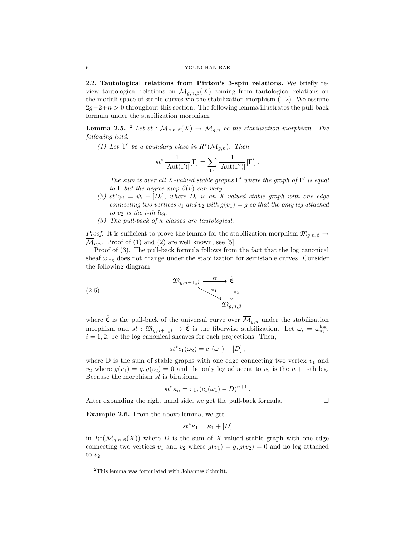2.2. Tautological relations from Pixton's 3-spin relations. We briefly review tautological relations on  $\overline{\mathcal{M}}_{g,n,\beta}(X)$  coming from tautological relations on the moduli space of stable curves via the stabilization morphism (1.2). We assume  $2g-2+n > 0$  throughout this section. The following lemma illustrates the pull-back formula under the stabilization morphism.

**Lemma 2.5.** <sup>2</sup> Let st :  $\overline{\mathcal{M}}_{g,n,\beta}(X) \to \overline{\mathcal{M}}_{g,n}$  be the stabilization morphism. The following hold:

(1) Let [ $\Gamma$ ] be a boundary class in  $R^*(\overline{\mathcal{M}}_{g,n})$ . Then

$$
st^* \frac{1}{|\text{Aut}(\Gamma)|}[\Gamma] = \sum_{\Gamma'} \frac{1}{|\text{Aut}(\Gamma')|}[\Gamma'].
$$

The sum is over all X-valued stable graphs  $\Gamma'$  where the graph of  $\Gamma'$  is equal to  $\Gamma$  but the degree map  $\beta(v)$  can vary.

- (2)  $st^*\psi_i = \psi_i [D_i]$ , where  $D_i$  is an X-valued stable graph with one edge connecting two vertices  $v_1$  and  $v_2$  with  $g(v_1) = g$  so that the only leg attached to  $v_2$  is the *i*-th leg.
- (3) The pull-back of  $\kappa$  classes are tautological.

*Proof.* It is sufficient to prove the lemma for the stabilization morphism  $\mathfrak{M}_{q,n,\beta} \to$  $\overline{\mathcal{M}}_{q,n}$ . Proof of (1) and (2) are well known, see [5].

Proof of (3). The pull-back formula follows from the fact that the log canonical sheaf  $\omega_{\text{log}}$  does not change under the stabilization for semistable curves. Consider the following diagram

(2.6) 
$$
\mathfrak{M}_{g,n+1,\beta} \xrightarrow{\text{st}} \tilde{\mathfrak{C}} \\ \downarrow^{\pi_1} \\ \mathfrak{M}_{g,n,\beta}
$$

where  $\tilde{\mathfrak{C}}$  is the pull-back of the universal curve over  $\overline{\mathcal{M}}_{g,n}$  under the stabilization morphism and  $st : \mathfrak{M}_{g,n+1,\beta} \to \tilde{\mathfrak{C}}$  is the fiberwise stabilization. Let  $\omega_i = \omega_{\pi_i}^{\log}$ ,  $i = 1, 2$ , be the log canonical sheaves for each projections. Then,

$$
st^*c_1(\omega_2)=c_1(\omega_1)-[D],
$$

where D is the sum of stable graphs with one edge connecting two vertex  $v_1$  and  $v_2$  where  $g(v_1) = g, g(v_2) = 0$  and the only leg adjacent to  $v_2$  is the  $n + 1$ -th leg. Because the morphism st is birational,

$$
st^*\kappa_n = \pi_{1*}(c_1(\omega_1) - D)^{n+1}.
$$

After expanding the right hand side, we get the pull-back formula.  $\Box$ 

Example 2.6. From the above lemma, we get

$$
st^*\kappa_1 = \kappa_1 + [D]
$$

in  $R^1(\overline{\mathcal{M}}_{g,n,\beta}(X))$  where D is the sum of X-valued stable graph with one edge connecting two vertices  $v_1$  and  $v_2$  where  $g(v_1) = g, g(v_2) = 0$  and no leg attached to  $v_2$ .

<sup>2</sup>This lemma was formulated with Johannes Schmitt.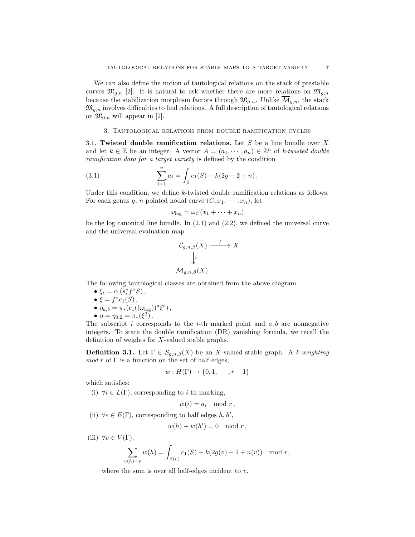We can also define the notion of tautological relations on the stack of prestable curves  $\mathfrak{M}_{g,n}$  [2]. It is natural to ask whether there are more relations on  $\mathfrak{M}_{g,n}$ because the stabilization morphism factors through  $\mathfrak{M}_{g,n}$ . Unlike  $\overline{\mathcal{M}}_{g,n}$ , the stack  $\mathfrak{M}_{g,n}$  involves difficulties to find relations. A full description of tautological relations on  $\mathfrak{M}_{0,n}$  will appear in [2].

## 3. Tautological relations from double ramification cycles

3.1. Twisted double ramification relations. Let S be a line bundle over X and let  $k \in \mathbb{Z}$  be an integer. A vector  $A = (a_1, \dots, a_n) \in \mathbb{Z}^n$  of k-twisted double ramification data for a target variety is defined by the condition

(3.1) 
$$
\sum_{i=1}^{n} a_i = \int_{\beta} c_1(S) + k(2g - 2 + n).
$$

Under this condition, we define k-twisted double ramification relations as follows. For each genus g, n pointed nodal curve  $(C, x_1, \dots, x_n)$ , let

$$
\omega_{\log} = \omega_C(x_1 + \dots + x_n)
$$

be the log canonical line bundle. In  $(2.1)$  and  $(2.2)$ , we defined the universal curve and the universal evaluation map

$$
\mathcal{C}_{g,n,\beta}(X) \xrightarrow{f} X
$$

$$
\downarrow^{\pi}
$$

$$
\overline{\mathcal{M}}_{g,n,\beta}(X) .
$$

The following tautological classes are obtained from the above diagram

- $\xi_i = c_1(s_i^* f^* S)$ ,
- $\xi = f^*c_1(S)$ ,
- $\eta_{a,b} = \pi_*(c_1((\omega_{\text{log}}))^a \xi^b),$
- $\eta = \eta_{0,2} = \pi_*(\xi^2)$ .

The subscript i corresponds to the *i*-th marked point and  $a, b$  are nonnegative integers. To state the double ramification (DR) vanishing formula, we recall the definition of weights for X-valued stable graphs.

**Definition 3.1.** Let  $\Gamma \in \mathcal{S}_{g,n,\beta}(X)$  be an X-valued stable graph. A k-weighting  $mod\ r$  of  $\Gamma$  is a function on the set of half edges,

$$
w: H(\Gamma) \to \{0, 1, \cdots, r-1\}
$$

which satisfies:

(i)  $\forall i \in L(\Gamma)$ , corresponding to *i*-th marking,

 $w(i) = a_i \mod r$ ,

(ii)  $\forall e \in E(\Gamma)$ , corresponding to half edges  $h, h',$ 

$$
w(h) + w(h') = 0 \mod r,
$$

(iii)  $\forall v \in V(\Gamma)$ ,

$$
\sum_{v(h)=v} w(h) = \int_{\beta(v)} c_1(S) + k(2g(v) - 2 + n(v)) \mod r,
$$

where the sum is over all half-edges incident to  $v$ .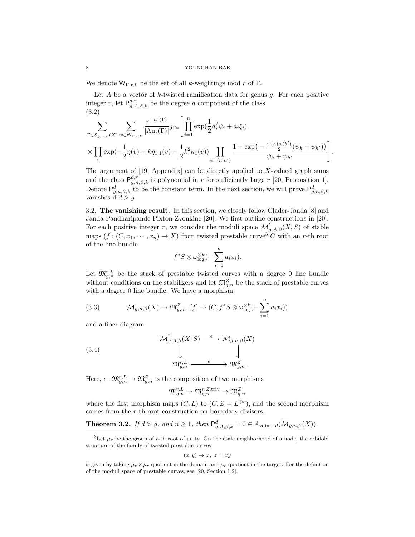We denote  $W_{\Gamma,r,k}$  be the set of all k-weightings mod r of  $\Gamma$ .

Let  $A$  be a vector of  $k$ -twisted ramification data for genus  $g$ . For each positive integer r, let  $P_{g,A,\beta,k}^{d,r}$  be the degree d component of the class (3.2)

$$
\sum_{\Gamma \in S_{g,n,\beta}(X)} \sum_{w \in W_{\Gamma,r,k}} \frac{r^{-h^1(\Gamma)}}{|\mathrm{Aut}(\Gamma)|} j_{\Gamma*} \left[ \prod_{i=1}^n \exp(\frac{1}{2} a_i^2 \psi_i + a_i \xi_i) \times \prod_{v} \exp(-\frac{1}{2} \eta(v) - k \eta_{1,1}(v) - \frac{1}{2} k^2 \kappa_1(v)) \prod_{e=(h,h')} \frac{1 - \exp(-\frac{w(h)w(h')}{2} (\psi_h + \psi_{h'}))}{\psi_h + \psi_{h'}} \right].
$$

The argument of  $[19,$  Appendix can be directly applied to X-valued graph sums and the class  $P_{g,n,\beta,k}^{d,r}$  is polynomial in r for sufficiently large r [20, Proposition 1]. Denote  $\mathsf{P}^d_{g,n,\beta,k}$  to be the constant term. In the next section, we will prove  $\mathsf{P}^d_{g,n,\beta,k}$  vanishes if  $d > g$ .

3.2. The vanishing result. In this section, we closely follow Clader-Janda [8] and Janda-Pandharipande-Pixton-Zvonkine [20]. We first outline constructions in [20]. For each positive integer r, we consider the moduli space  $\overline{\mathcal{M}}_{g,A,\beta}^r(X, S)$  of stable maps  $(f:(C, x_1, \dots, x_n) \to X)$  from twisted prestable curve<sup>3</sup> C with an r-th root of the line bundle

$$
f^*S \otimes \omega_{\log}^{\otimes k}(-\sum_{i=1}^n a_i x_i).
$$

Let  $\mathfrak{M}_{g,n}^{r,L}$  be the stack of prestable twisted curves with a degree 0 line bundle without conditions on the stabilizers and let  $\mathfrak{M}^Z_{g,n}$  be the stack of prestable curves with a degree 0 line bundle. We have a morphism

(3.3) 
$$
\overline{\mathcal{M}}_{g,n,\beta}(X) \to \mathfrak{M}_{g,n}^Z, [f] \to (C, f^*S \otimes \omega_{\log}^{\otimes k}(-\sum_{i=1}^n a_i x_i))
$$

and a fiber diagram

(3.4)  
\n
$$
\overline{\mathcal{M}}_{g,A,\beta}^{r}(X, S) \xrightarrow{\epsilon} \overline{\mathcal{M}}_{g,n,\beta}(X)
$$
\n
$$
\downarrow \qquad \qquad \downarrow
$$
\n
$$
\mathfrak{M}_{g,n}^{r,L} \xrightarrow{\epsilon} \mathfrak{M}_{g,n}^{Z}.
$$

Here,  $\epsilon: \mathfrak{M}_{g,n}^{r,L} \to \mathfrak{M}_{g,n}^{Z}$  is the composition of two morphisms

$$
\mathfrak{M}^{r,L}_{g,n}\to \mathfrak{M}^{r,Z,\mathrm{triv}}_{g,n}\to \mathfrak{M}^Z_{g,n}
$$

where the first morphism maps  $(C, L)$  to  $(C, Z = L^{\otimes r})$ , and the second morphism comes from the r-th root construction on boundary divisors.

**Theorem 3.2.** If  $d > g$ , and  $n \ge 1$ , then  $\mathsf{P}^d_{g,A,\beta,k} = 0 \in A_{\text{vdim}-d}(\overline{\mathcal{M}}_{g,n,\beta}(X)).$ 

$$
(x,y)\mapsto z\,,\,\,z=xy
$$

<sup>&</sup>lt;sup>3</sup>Let  $\mu_r$  be the group of r-th root of unity. On the étale neighborhood of a node, the orbifold structure of the family of twisted prestable curves

is given by taking  $\mu_r \times \mu_r$  quotient in the domain and  $\mu_r$  quotient in the target. For the definition of the moduli space of prestable curves, see [20, Section 1.2].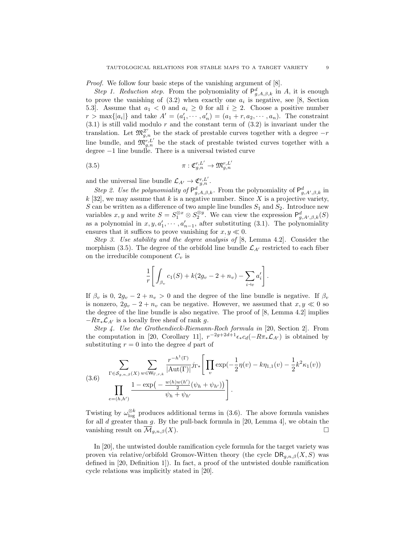Proof. We follow four basic steps of the vanishing argument of [8].

Step 1. Reduction step. From the polynomiality of  $\mathsf{P}^d_{g,A,\beta,k}$  in A, it is enough to prove the vanishing of  $(3.2)$  when exactly one  $a_i$  is negative, see [8, Section 5.3. Assume that  $a_1 < 0$  and  $a_i \geq 0$  for all  $i \geq 2$ . Choose a positive number  $r > \max\{|a_i|\}$  and take  $A' = (a'_1, \dots, a'_n) = (a_1 + r, a_2, \dots, a_n)$ . The constraint  $(3.1)$  is still valid modulo r and the constant term of  $(3.2)$  is invariant under the translation. Let  $\mathfrak{M}_{g,n}^{\mathbb{Z}'}$  be the stack of prestable curves together with a degree  $-r$ line bundle, and  $\mathfrak{M}^{r,L'}_{g,n}$  be the stack of prestable twisted curves together with a degree −1 line bundle. There is a universal twisted curve

(3.5) 
$$
\pi: \mathfrak{C}_{g,n}^{r,L'} \to \mathfrak{M}_{g,n}^{r,L'}
$$

and the universal line bundle  $\mathcal{L}_{A'} \to \mathfrak{C}_{g,n}^{r,L'}$ .

Step 2. Use the polynomiality of  $\mathsf{P}^d_{g,A,\beta,k}$ . From the polynomiality of  $\mathsf{P}^d_{g,A',\beta,k}$  in  $k$  [32], we may assume that k is a negative number. Since X is a projective variety, S can be written as a difference of two ample line bundles  $S_1$  and  $S_2$ . Introduce new variables x, y and write  $S = S_1^{\otimes x} \otimes S_2^{\otimes y}$ . We can view the expression  $\mathsf{P}^d_{g,A',\beta,k}(S)$ as a polynomial in  $x, y, a'_1, \dots, a'_{n-1}$ , after substituting (3.1). The polynomiality ensures that it suffices to prove vanishing for  $x, y \ll 0$ .

Step 3. Use stability and the degree analysis of [8, Lemma 4.2]. Consider the morphism (3.5). The degree of the orbifold line bundle  $\mathcal{L}_{A'}$  restricted to each fiber on the irreducible component  $C_v$  is

$$
\frac{1}{r} \left[ \int_{\beta_v} c_1(S) + k(2g_v - 2 + n_v) - \sum_{i \to v} a'_i \right].
$$

If  $\beta_v$  is 0,  $2g_v - 2 + n_v > 0$  and the degree of the line bundle is negative. If  $\beta_v$ is nonzero,  $2g_v - 2 + n_v$  can be negative. However, we assumed that  $x, y \ll 0$  so the degree of the line bundle is also negative. The proof of [8, Lemma 4.2] implies  $-R\pi_*\mathcal{L}_{A'}$  is a locally free sheaf of rank g.

Step 4. Use the Grothendieck-Riemann-Roch formula in [20, Section 2]. From the computation in [20, Corollary 11],  $r^{-2g+2d+1}\epsilon_* c_d(-R\pi_*\mathcal{L}_{A'})$  is obtained by substituting  $r = 0$  into the degree d part of

(3.6) 
$$
\sum_{\Gamma \in S_{g,n,\beta}(X)} \sum_{w \in W_{\Gamma,r,k}} \frac{r^{-h^{1}(\Gamma)}}{|\text{Aut}(\Gamma)|} j_{\Gamma*} \left[ \prod_v \exp(-\frac{1}{2} \eta(v) - k \eta_{1,1}(v) - \frac{1}{2} k^2 \kappa_1(v)) - \prod_{e=(h,h')} \frac{1 - \exp(-\frac{w(h)w(h')}{2} (\psi_h + \psi_{h'}))}{\psi_h + \psi_{h'}} \right].
$$

Twisting by  $\omega_{\log}^{\otimes k}$  produces additional terms in (3.6). The above formula vanishes for all  $d$  greater than  $g$ . By the pull-back formula in [20, Lemma 4], we obtain the vanishing result on  $\overline{\mathcal{M}}_{g,n,\beta}(X)$ .

In [20], the untwisted double ramification cycle formula for the target variety was proven via relative/orbifold Gromov-Witten theory (the cycle  $\text{DR}_{g,n,\beta}(X, S)$  was defined in [20, Definition 1]). In fact, a proof of the untwisted double ramification cycle relations was implicitly stated in [20].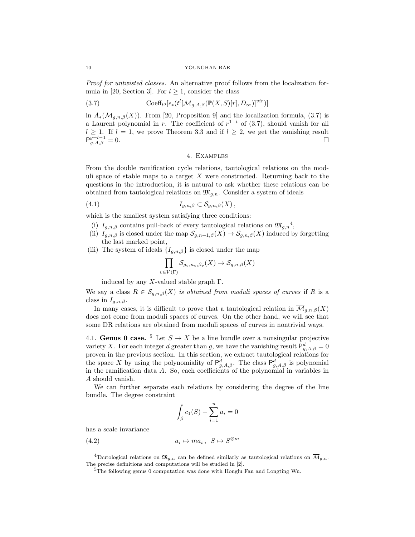Proof for untwisted classes. An alternative proof follows from the localization formula in [20, Section 3]. For  $l > 1$ , consider the class

(3.7) 
$$
\mathrm{Coeff}_{t^0}[\epsilon_*(t^l[\overline{\mathcal{M}}_{g,A,\beta}(\mathbb{P}(X,S)[r],D_\infty)]^{vir})]
$$

in  $A_*(\overline{\mathcal{M}}_{g,n,\beta}(X))$ . From [20, Proposition 9] and the localization formula, (3.7) is a Laurent polynomial in r. The coefficient of  $r^{1-l}$  of (3.7), should vanish for all  $l \geq 1$ . If  $l = 1$ , we prove Theorem 3.3 and if  $l \geq 2$ , we get the vanishing result  $P_{g,A,\beta}^{g+l-1} = 0.$ 

## 4. Examples

From the double ramification cycle relations, tautological relations on the moduli space of stable maps to a target  $X$  were constructed. Returning back to the questions in the introduction, it is natural to ask whether these relations can be obtained from tautological relations on  $\mathfrak{M}_{q,n}$ . Consider a system of ideals

$$
(4.1) \t\t I_{g,n,\beta} \subset \mathcal{S}_{g,n,\beta}(X),
$$

which is the smallest system satisfying three conditions:

- (i)  $I_{g,n,\beta}$  contains pull-back of every tautological relations on  $\mathfrak{M}_{g,n}^4$ ,
- (ii)  $I_{g,n,\beta}$  is closed under the map  $\mathcal{S}_{g,n+1,\beta}(X) \to \mathcal{S}_{g,n,\beta}(X)$  induced by forgetting the last marked point,
- (iii) The system of ideals  ${I_{q,n,\beta}}$  is closed under the map

$$
\prod_{\Gamma V(\Gamma)} \mathcal{S}_{g_v,n_v,\beta_v}(X) \to \mathcal{S}_{g,n,\beta}(X)
$$

 $v \in$ induced by any X-valued stable graph  $\Gamma$ .

We say a class  $R \in \mathcal{S}_{q,n,\beta}(X)$  is obtained from moduli spaces of curves if R is a class in  $I_{q,n,\beta}$ .

In many cases, it is difficult to prove that a tautological relation in  $\overline{\mathcal{M}}_{q,n,\beta}(X)$ does not come from moduli spaces of curves. On the other hand, we will see that some DR relations are obtained from moduli spaces of curves in nontrivial ways.

4.1. Genus 0 case. <sup>5</sup> Let  $S \to X$  be a line bundle over a nonsingular projective variety X. For each integer d greater than g, we have the vanishing result  $P_{g,A,\beta}^d = 0$ proven in the previous section. In this section, we extract tautological relations for the space X by using the polynomiality of  $\mathsf{P}^d_{g,A,\beta}$ . The class  $\mathsf{P}^d_{g,A,\beta}$  is polynomial in the ramification data A. So, each coefficients of the polynomial in variables in A should vanish.

We can further separate each relations by considering the degree of the line bundle. The degree constraint

$$
\int_{\beta} c_1(S) - \sum_{i=1}^n a_i = 0
$$

has a scale invariance

 $(4.2)$  $\mapsto ma_i\,,\,S\mapsto S^{\otimes m}$ 

<sup>&</sup>lt;sup>4</sup>Tautological relations on  $\mathfrak{M}_{g,n}$  can be defined similarly as tautological relations on  $\overline{\mathcal{M}}_{g,n}$ . The precise definitions and computations will be studied in [2].

<sup>5</sup>The following genus 0 computation was done with Honglu Fan and Longting Wu.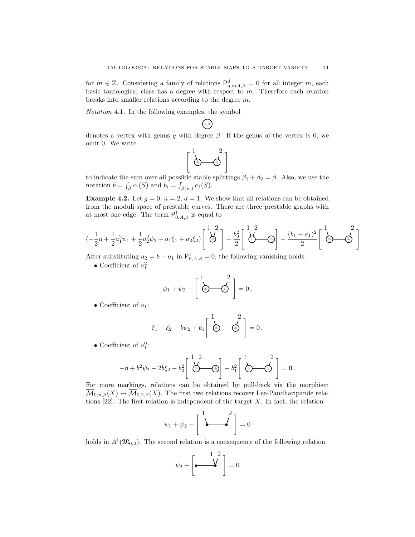for  $m \in \mathbb{Z}$ . Considering a family of relations  $\mathsf{P}^d_{g,mA,\beta} = 0$  for all integer m, each basic tautological class has a degree with respect to m. Therefore each relation breaks into smaller relations according to the degree m.

Notation 4.1. In the following examples, the symbol

denotes a vertex with genus g with degree  $\beta$ . If the genus of the vertex is 0, we omit 0. We write

 $g, \beta$ 

$$
\left\lceil \begin{array}{c} 1 & 2 \\ \hline \delta_1 & \delta_2 \end{array} \right\rceil
$$

to indicate the sum over all possible stable splittings  $\beta_1 + \beta_2 = \beta$ . Also, we use the notation  $b = \int_{\beta} c_1(S)$  and  $b_i = \int_{\beta(v_i)} c_1(S)$ .

**Example 4.2.** Let  $g = 0$ ,  $n = 2$ ,  $d = 1$ . We show that all relations can be obtained from the moduli space of prestable curves. There are three prestable graphs with at most one edge. The term  $\mathsf{P}^1_{0,A,\beta}$  is equal to

$$
(-\frac{1}{2}\eta + \frac{1}{2}a_1^2\psi_1 + \frac{1}{2}a_2^2\psi_2 + a_1\xi_1 + a_2\xi_2)\left[\begin{array}{c}1\ 2\\ \bigcirc \end{array}\right] - \frac{b_2^2}{2}\left[\begin{array}{c}1\ 2\\ \bigcirc \end{array}\right] - \frac{(b_1 - a_1)^2}{2}\left[\begin{array}{c}1\\ \bigcirc \end{array}\right] - \frac{(b_1 - a_1)^2}{2}\left[\begin{array}{c}1\\ \bigcirc \end{array}\right]
$$

After substituting  $a_2 = b - a_1$  in  $P_{0,A,\beta}^1 = 0$ , the following vanishing holds:

• Coefficient of  $a_1^2$ :

$$
\psi_1 + \psi_2 - \left[ \begin{array}{c} 1 & 2 \\ \hline \odot & \odot \end{array} \right] = 0,
$$

• Coefficient of  $a_1$ :

$$
\xi_1 - \xi_2 - b\psi_2 + b_1 \left[ \begin{array}{c} 1 & 2 \\ \hline \sqrt{2} & 0 \\ 0 & 0 \end{array} \right] = 0,
$$

• Coefficient of  $a_1^0$ :

$$
-\eta + b^2 \psi_2 + 2b \xi_2 - b_2^2 \left[ \begin{array}{c} 1 & 2 \\ \frac{\lambda_2}{\beta} & \frac{\lambda_1}{\beta} \end{array} \right] - b_1^2 \left[ \begin{array}{c} 1 & 2 \\ \frac{\lambda_2}{\beta} & \frac{\lambda_2}{\beta} \end{array} \right] = 0.
$$

For more markings, relations can be obtained by pull-back via the morphism  $\overline{\mathcal{M}}_{0,n,\beta}(X) \to \overline{\mathcal{M}}_{0,2,\beta}(X)$ . The first two relations recover Lee-Pandharipande relations  $[22]$ . The first relation is independent of the target X. In fact, the relation

$$
\psi_1 + \psi_2 - \left[\begin{array}{c}1 & 2 \\ \downarrow & \downarrow\end{array}\right] = 0
$$

holds in  $A^1(\mathfrak{M}_{0,2})$ . The second relation is a consequence of the following relation

$$
\psi_2 - \begin{bmatrix} 1 & 2 \\ \bullet & \bullet \end{bmatrix} = 0
$$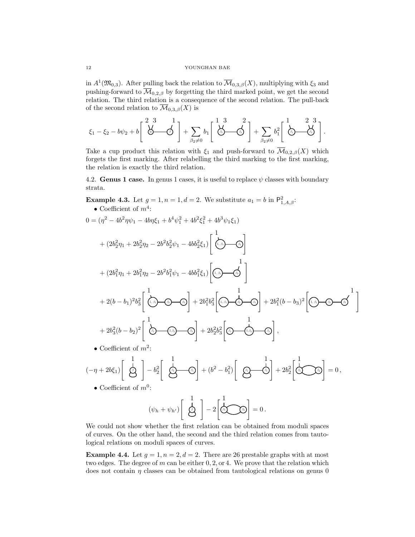in  $A^1(\mathfrak{M}_{0,3})$ . After pulling back the relation to  $\overline{\mathcal{M}}_{0,3,\beta}(X)$ , multiplying with  $\xi_3$  and pushing-forward to  $\overline{\mathcal{M}}_{0,2,\beta}$  by forgetting the third marked point, we get the second relation. The third relation is a consequence of the second relation. The pull-back of the second relation to  $\overline{\mathcal{M}}_{0,3,\beta}(X)$  is

$$
\xi_1-\xi_2-b\psi_2+b\left[\begin{array}{cc}2&3&1\\ \bigvee&\bigwedge\end{array}\right]+\sum_{\beta_2\neq 0}b_1\left[\begin{array}{cc}1&3&2\\ \bigwedge\end{array}\right]+\sum_{\beta_2\neq 0}b_1^2\left[\begin{array}{cc}1&2&3\\ \bigwedge\end{array}\right].
$$

Take a cup product this relation with  $\xi_1$  and push-forward to  $\overline{\mathcal{M}}_{0,2,\beta}(X)$  which forgets the first marking. After relabelling the third marking to the first marking, the relation is exactly the third relation.

4.2. Genus 1 case. In genus 1 cases, it is useful to replace  $\psi$  classes with boundary strata.

**Example 4.3.** Let  $g = 1, n = 1, d = 2$ . We substitute  $a_1 = b$  in  $P_{1, A, \beta}^2$ . • Coefficient of  $m^4$ :

$$
0 = (\eta^2 - 4b^2 \eta \psi_1 - 4b\eta \xi_1 + b^4 \psi_1^2 + 4b^2 \xi_1^2 + 4b^3 \psi_1 \xi_1)
$$
  
+  $(2b_2^2 \eta_1 + 2b_2^2 \eta_2 - 2b^2 b_2^2 \psi_1 - 4b b_2^2 \xi_1) \begin{bmatrix} 1 \\ \frac{1}{(1, 0)} \\ 0 \end{bmatrix}$   
+  $(2b_1^2 \eta_1 + 2b_1^2 \eta_2 - 2b^2 b_1^2 \psi_1 - 4b b_1^2 \xi_1) \begin{bmatrix} 1 \\ \frac{1}{(1, 0)} \\ 0 \end{bmatrix}$   
+  $2(b - b_1)^2 b_3^2 \begin{bmatrix} 1 \\ \frac{1}{(1, 0)} \\ 0 \end{bmatrix} + 2b_1^2 b_3^2 \begin{bmatrix} 1 \\ \frac{1}{(1, 0)} \\ 0 \end{bmatrix} + 2b_1^2 b_3^2 \begin{bmatrix} 1 \\ \frac{1}{(1, 0)} \\ 0 \end{bmatrix} + 2b_1^2 (b - b_3)^2 \begin{bmatrix} 1 \\ \frac{1}{(1, 0)} \\ 0 \end{bmatrix}$   
+  $2b_3^2 (b - b_2)^2 \begin{bmatrix} 1 \\ \frac{1}{(1, 0)} \\ 0 \end{bmatrix} + 2b_2^2 b_3^2 \begin{bmatrix} 1 \\ \frac{1}{(1, 0)} \\ 0 \end{bmatrix}$ ,  
• Coefficient of  $m^2$ :

$$
(-\eta + 2b\xi_1)\begin{bmatrix} 1 \\ \frac{1}{\zeta_2^2} \end{bmatrix} - b_2^2 \begin{bmatrix} 1 \\ \frac{1}{\zeta_2^2} - \zeta_2 \end{bmatrix} + (b^2 - b_1^2) \begin{bmatrix} 1 \\ \frac{1}{\zeta_2^2} - \zeta_2 \end{bmatrix} + 2b_2^2 \begin{bmatrix} 1 \\ \frac{1}{\zeta_2^2} - \zeta_2 \end{bmatrix} = 0,
$$

• Coefficient of  $m^0$ :

$$
(\psi_h + \psi_{h'}) \begin{bmatrix} 1 \\ \frac{1}{\sqrt{3}} \end{bmatrix} - 2 \begin{bmatrix} 1 \\ \frac{1}{\sqrt{3}} \\ 0 \end{bmatrix} = 0.
$$

We could not show whether the first relation can be obtained from moduli spaces of curves. On the other hand, the second and the third relation comes from tautological relations on moduli spaces of curves.

**Example 4.4.** Let  $g = 1, n = 2, d = 2$ . There are 26 prestable graphs with at most two edges. The degree of m can be either  $0, 2, \text{or } 4$ . We prove that the relation which does not contain  $\eta$  classes can be obtained from tautological relations on genus 0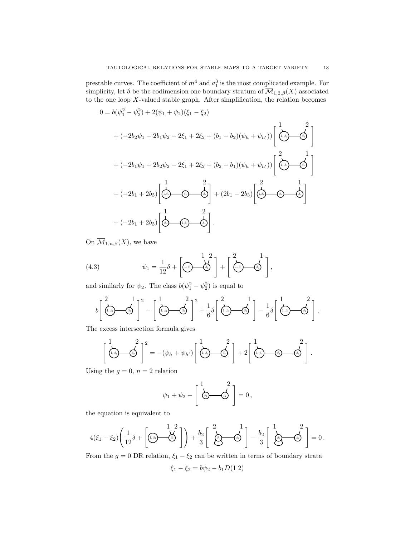prestable curves. The coefficient of  $m^4$  and  $a_1^3$  is the most complicated example. For simplicity, let  $\delta$  be the codimension one boundary stratum of  $\overline{\mathcal{M}}_{1,2,\beta}(X)$  associated to the one loop  $X$ -valued stable graph. After simplification, the relation becomes

$$
0 = b(\psi_1^2 - \psi_2^2) + 2(\psi_1 + \psi_2)(\xi_1 - \xi_2)
$$
  
+  $(-2b_2\psi_1 + 2b_1\psi_2 - 2\xi_1 + 2\xi_2 + (b_1 - b_2)(\psi_h + \psi_{h'}))\left[\overbrace{(\cdot,\cdot,\cdot)}^{1} - \overbrace{\cdot,\cdot}^{2}\right]$   
+  $(-2b_1\psi_1 + 2b_2\psi_2 - 2\xi_1 + 2\xi_2 + (b_2 - b_1)(\psi_h + \psi_{h'}))\left[\overbrace{(\cdot,\cdot,\cdot)}^{2} - \overbrace{\cdot,\cdot}^{1}\right]$   
+  $(-2b_1 + 2b_3)\left[\overbrace{(\cdot,\cdot,\cdot)}^{1} - \overbrace{(\cdot,\cdot,\cdot)}^{2}\right] + (2b_1 - 2b_3)\left[\overbrace{(\cdot,\cdot,\cdot)}^{2} - \overbrace{\cdot,\cdot}^{1}\right]$   
+  $(-2b_1 + 2b_3)\left[\overbrace{\cdot,\cdot,\cdot}^{1} - \overbrace{(\cdot,\cdot,\cdot)}^{2}\right].$ 

On  $\overline{\mathcal{M}}_{1,n,\beta}(X)$ , we have

(4.3) 
$$
\psi_1 = \frac{1}{12}\delta + \left[ \underbrace{\left( \underbrace{\mathbf{A}}_{\beta} \right)}_{\beta} + \left[ \underbrace{\left( \underbrace{\mathbf{A}}_{\beta} \right)}_{\beta} - \underbrace{\mathbf{A}}_{\beta} \right],
$$

and similarly for  $\psi_2$ . The class  $b(\psi_1^2 - \psi_2^2)$  is equal to

$$
b\left[\begin{array}{cc}2&1\\[-0.5ex]1\end{array}\right]^{2}-\left[\begin{array}{cc}1\\[-0.5ex]1\end{array}\right]^{2}-\left[\begin{array}{cc}1\\[-0.5ex]1\end{array}\right]^{2}+\frac{1}{6}\delta\left[\begin{array}{cc}2&1\\[-0.5ex]1\end{array}\right]-\frac{1}{6}\delta\left[\begin{array}{cc}1\\[-0.5ex]1\end{array}\right]^{2}.
$$

The excess intersection formula gives

$$
\left[\begin{array}{c}1\\(1,\beta_1)\end{array}\right]^2 = -(\psi_h + \psi_{h'})\left[\begin{array}{c}1\\(1,\beta_1)\end{array}\right]^2 + 2\left[\begin{array}{c}1\\(1,\beta_1)\end{array}\right]^2.
$$

Using the  $g = 0$ ,  $n = 2$  relation

$$
\psi_1 + \psi_2 - \left[ \begin{array}{c} 1 & 2 \\ \hline \downarrow \downarrow \downarrow \downarrow \downarrow \end{array} \right] = 0 \,,
$$

the equation is equivalent to

$$
4(\xi_1-\xi_2)\left(\frac{1}{12}\delta+\left[\widehat{\mathbf{a}}_1\hspace{-0.1cm}\right]\hspace{-0.1cm}\right)+\frac{b_2}{3}\left[\begin{array}{c}2\hspace{-0.1cm}\phantom{-}1\hspace{-0.1cm}\phantom{-}2\hspace{-0.1cm}\phantom{-}1\hspace{-0.1cm}\phantom{-}2\hspace{-0.1cm}\phantom{-}1\hspace{-0.1cm}\phantom{-}2\hspace{-0.1cm}\phantom{-}1\hspace{-0.1cm}\phantom{-}2\hspace{-0.1cm}\phantom{-}1\hspace{-0.1cm}\phantom{-}2\hspace{-0.1cm}\phantom{-}1\hspace{-0.1cm}\phantom{-}2\hspace{-0.1cm}\phantom{-}1\hspace{-0.1cm}\phantom{-}2\hspace{-0.1cm}\phantom{-}1\hspace{-0.1cm}\phantom{-}2\hspace{-0.1cm}\phantom{-}1\hspace{-0.1cm}\phantom{-}2\hspace{-0.1cm}\phantom{-}1\hspace{-0.1cm}\phantom{-}2\hspace{-0.1cm}\phantom{-}1\hspace{-0.1cm}\phantom{-}2\hspace{-0.1cm}\phantom{-}1\hspace{-0.1cm}\phantom{-}2\hspace{-0.1cm}\phantom{-}1\hspace{-0.1cm}\phantom{-}2\hspace{-0.1cm}\phantom{-}1\hspace{-0.1cm}\phantom{-}2\hspace{-0.1cm}\phantom{-}1\hspace{-0.1cm}\phantom{-}2\hspace{-0.1cm}\phantom{-}1\hspace{-0.1cm}\phantom{-}2\hspace{-0.1cm}\phantom{-}1\hspace{-0.1cm}\phantom{-}2\hspace{-0.1cm}\phantom{-}1\hspace{-0.1cm}\phantom{-}2\hspace{-0.1cm}\phantom{-}1\hspace{-0.1cm}\phantom{-}2\hspace{-0.1cm}\phantom{-}1\hspace{-0.1cm}\phantom{-}2\hspace{-0.1cm}\phantom{-}1\hspace{-0.1cm}\phantom{-}2\hspace{-0.1cm}\phantom{-}1\hspace{-0.1cm}\phantom{-}2\hspace{-0.1cm}\phantom{-}1\hspace{-0.1cm}\phantom{-}2\hspace{-0.1cm}\phantom{-}1\hspace{-0.1cm}\phantom{-}2\hspace{-0.1cm}\phantom{-}1\
$$

From the  $g = 0$  DR relation,  $\xi_1 - \xi_2$  can be written in terms of boundary strata

$$
\xi_1 - \xi_2 = b\psi_2 - b_1 D(1|2)
$$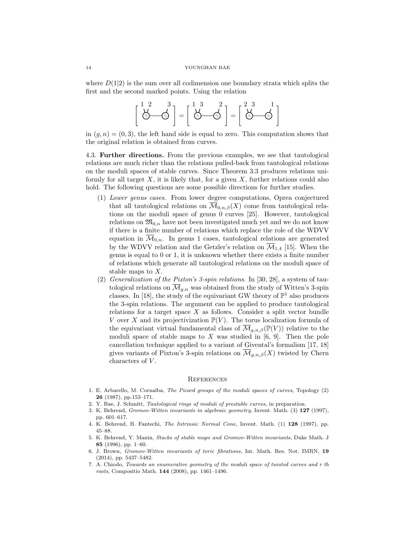where  $D(1|2)$  is the sum over all codimension one boundary strata which splits the first and the second marked points. Using the relation

$$
\begin{bmatrix} 1 & 2 & 3 \ \lambda & \lambda & \lambda \\ \lambda & \lambda & \lambda \\ \end{bmatrix} = \begin{bmatrix} 1 & 3 & 2 \ \lambda & \lambda \\ \lambda & \lambda & \lambda \\ \end{bmatrix} = \begin{bmatrix} 2 & 3 & 1 \ \lambda & \lambda \\ \lambda & \lambda & \lambda \\ \end{bmatrix}
$$

in  $(g, n) = (0, 3)$ , the left hand side is equal to zero. This computation shows that the original relation is obtained from curves.

4.3. Further directions. From the previous examples, we see that tautological relations are much richer than the relations pulled-back from tautological relations on the moduli spaces of stable curves. Since Theorem 3.3 produces relations uniformly for all target  $X$ , it is likely that, for a given  $X$ , further relations could also hold. The following questions are some possible directions for further studies.

- (1) Lower genus cases. From lower degree computations, Oprea conjectured that all tautological relations on  $\overline{\mathcal{M}}_{0,n,\beta}(X)$  come from tautological relations on the moduli space of genus 0 curves [25]. However, tautological relations on  $\mathfrak{M}_{0,n}$  have not been investigated much yet and we do not know if there is a finite number of relations which replace the role of the WDVV equation in  $\overline{\mathcal{M}}_{0,n}$ . In genus 1 cases, tautological relations are generated by the WDVV relation and the Getzler's relation on  $\overline{\mathcal{M}}_{1,4}$  [15]. When the genus is equal to 0 or 1, it is unknown whether there exists a finite number of relations which generate all tautological relations on the moduli space of stable maps to X.
- (2) Generalization of the Pixton's 3-spin relations. In [30, 28], a system of tautological relations on  $\overline{\mathcal{M}}_{q,n}$  was obtained from the study of Witten's 3-spin classes. In [18], the study of the equivariant GW theory of  $\mathbb{P}^1$  also produces the 3-spin relations. The argument can be applied to produce tautological relations for a target space  $X$  as follows. Consider a split vector bundle V over X and its projectivization  $\mathbb{P}(V)$ . The torus localization formula of the equivariant virtual fundamental class of  $\overline{\mathcal{M}}_{g,n,\beta}(\mathbb{P}(V))$  relative to the moduli space of stable maps to X was studied in  $[6, 9]$ . Then the pole cancellation technique applied to a variant of Givental's formalism [17, 18] gives variants of Pixton's 3-spin relations on  $\mathcal{M}_{g,n,\beta}(X)$  twisted by Chern characters of  $V$ .

## **REFERENCES**

- 1. E. Arbarello, M. Cornalba, The Picard groups of the moduli spaces of curves, Topology (2) 26 (1987), pp.153–171.
- 2. Y. Bae, J. Schmitt, Tautological rings of moduli of prestable curves, in preparation.
- 3. K. Behrend, Gromov-Witten invariants in algebraic geometry, Invent. Math. (3) 127 (1997), pp. 601–617.
- 4. K. Behrend, B. Fantechi, The Intrinsic Normal Cone, Invent. Math. (1) 128 (1997), pp. 45–88.
- 5. K. Behrend, Y. Manin, Stacks of stable maps and Gromov-Witten invariants, Duke Math. J 85 (1996), pp. 1–60.
- 6. J. Brown, Gromov-Witten invariants of toric fibrations, Int. Math. Res. Not. IMRN, 19 (2014), pp. 5437–5482.
- 7. A. Chiodo, Towards an enumerative geometry of the moduli space of twisted curves and r th roots, Compositio Math. 144 (2008), pp. 1461–1496.